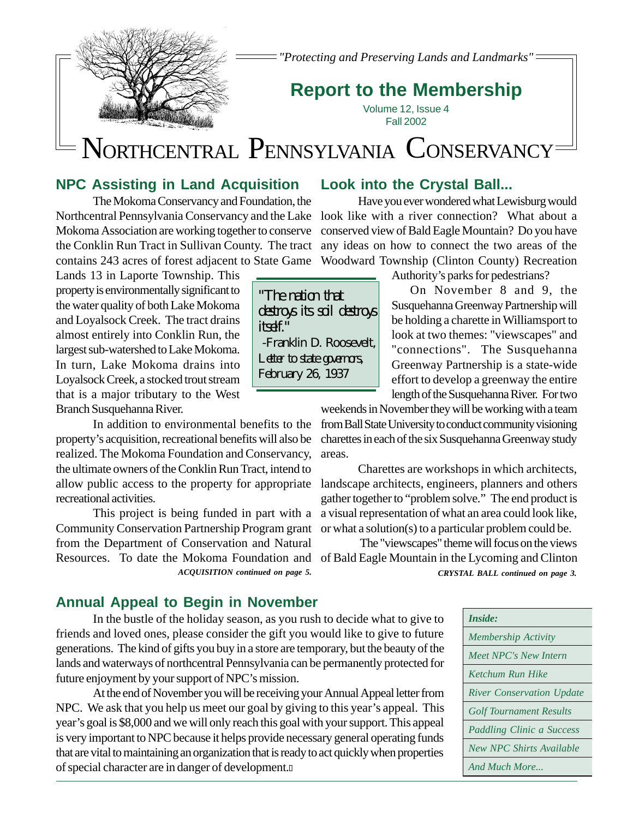

*"Protecting and Preserving Lands and Landmarks"*

## **Report to the Membership**

Volume 12, Issue 4 Fall 2002

# NORTHCENTRAL PENNSYLVANIA CONSERVANCY

"The nation that

itself<sup>"</sup>

destroys its soil destroys

 -Franklin D. Roosevelt, Letter to state governors, February 26, 1937

### **NPC Assisting in Land Acquisition**

Northcentral Pennsylvania Conservancy and the Lake look like with a river connection? What about a the Conklin Run Tract in Sullivan County. The tract any ideas on how to connect the two areas of the The Mokoma Conservancy and Foundation, the Mokoma Association are working together to conserve contains 243 acres of forest adjacent to State Game

Lands 13 in Laporte Township. This property is environmentally significant to the water quality of both Lake Mokoma and Loyalsock Creek. The tract drains almost entirely into Conklin Run, the largest sub-watershed to Lake Mokoma. In turn, Lake Mokoma drains into Loyalsock Creek, a stocked trout stream that is a major tributary to the West Branch Susquehanna River.

allow public access to the property for appropriate landscape architects, engineers, planners and others In addition to environmental benefits to the property's acquisition, recreational benefits will also be realized. The Mokoma Foundation and Conservancy, the ultimate owners of the Conklin Run Tract, intend to recreational activities.

Resources. To date the Mokoma Foundation and of Bald Eagle Mountain in the Lycoming and Clinton This project is being funded in part with a Community Conservation Partnership Program grant from the Department of Conservation and Natural

### **Annual Appeal to Begin in November**

In the bustle of the holiday season, as you rush to decide what to give to friends and loved ones, please consider the gift you would like to give to future generations. The kind of gifts you buy in a store are temporary, but the beauty of the lands and waterways of northcentral Pennsylvania can be permanently protected for future enjoyment by your support of NPC's mission.

At the end of November you will be receiving your Annual Appeal letter from NPC. We ask that you help us meet our goal by giving to this year's appeal. This year's goal is \$8,000 and we will only reach this goal with your support. This appeal is very important to NPC because it helps provide necessary general operating funds that are vital to maintaining an organization that is ready to act quickly when properties of special character are in danger of development.

#### **Look into the Crystal Ball...**

Have you ever wondered what Lewisburg would conserved view of Bald Eagle Mountain? Do you have Woodward Township (Clinton County) Recreation

Authority's parks for pedestrians?

 On November 8 and 9, the Susquehanna Greenway Partnership will be holding a charette in Williamsport to look at two themes: "viewscapes" and "connections". The Susquehanna Greenway Partnership is a state-wide effort to develop a greenway the entire length of the Susquehanna River. For two

weekends in November they will be working with a team from Ball State University to conduct community visioning charettes in each of the six Susquehanna Greenway study areas.

Charettes are workshops in which architects, gather together to "problem solve." The end product is a visual representation of what an area could look like, or what a solution(s) to a particular problem could be.

 The "viewscapes" theme will focus on the views *ACQUISITION continued on page 5. CRYSTAL BALL continued on page 3.*

| Inside:                          |
|----------------------------------|
| <b>Membership Activity</b>       |
| Meet NPC's New Intern            |
| Ketchum Run Hike                 |
| <b>River Conservation Update</b> |
| <b>Golf Tournament Results</b>   |
| Paddling Clinic a Success        |
| New NPC Shirts Available         |
| And Much More                    |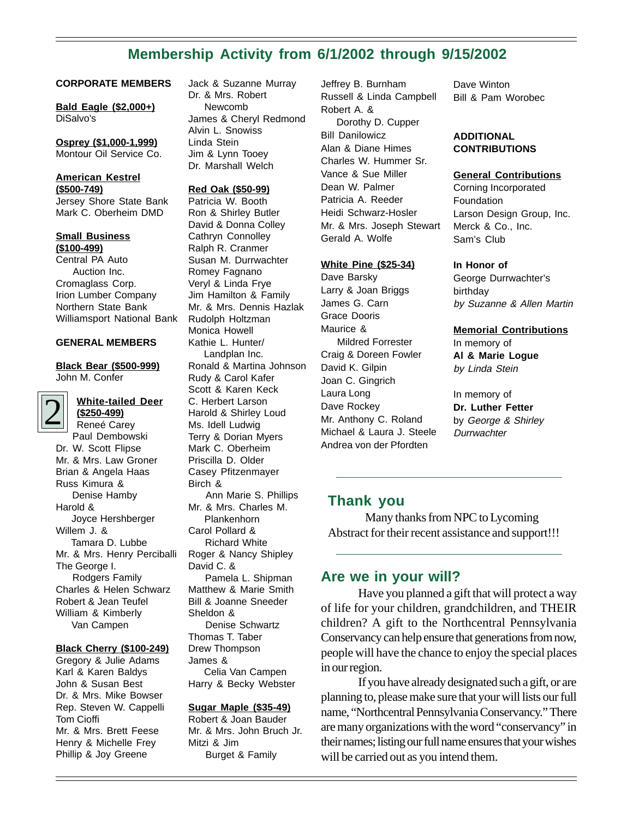### **Membership Activity from 6/1/2002 through 9/15/2002**

#### **CORPORATE MEMBERS**

**Bald Eagle (\$2,000+)** DiSalvo's

**Osprey (\$1,000-1,999)** Montour Oil Service Co.

#### **American Kestrel (\$500-749)**

Jersey Shore State Bank Mark C. Oberheim DMD

**Small Business (\$100-499)** Central PA Auto Auction Inc. Cromaglass Corp. Irion Lumber Company Northern State Bank

#### **GENERAL MEMBERS**

Williamsport National Bank

**Black Bear (\$500-999)** John M. Confer

#### **White-tailed Deer (\$250-499)**

2 Reneé Carey Paul Dembowski Dr. W. Scott Flipse Mr. & Mrs. Law Groner Brian & Angela Haas Russ Kimura & Denise Hamby Harold & Joyce Hershberger Willem J. & Tamara D. Lubbe Mr. & Mrs. Henry Perciballi The George I. Rodgers Family Charles & Helen Schwarz Robert & Jean Teufel William & Kimberly Van Campen

#### **Black Cherry (\$100-249)**

Gregory & Julie Adams Karl & Karen Baldys John & Susan Best Dr. & Mrs. Mike Bowser Rep. Steven W. Cappelli Tom Cioffi Mr. & Mrs. Brett Feese Henry & Michelle Frey Phillip & Joy Greene

Jack & Suzanne Murray Dr. & Mrs. Robert Newcomb James & Cheryl Redmond Alvin L. Snowiss Linda Stein Jim & Lynn Tooey Dr. Marshall Welch

#### **Red Oak (\$50-99)**

Patricia W. Booth Ron & Shirley Butler David & Donna Colley Cathryn Connolley Ralph R. Cranmer Susan M. Durrwachter Romey Fagnano Veryl & Linda Frye Jim Hamilton & Family Mr. & Mrs. Dennis Hazlak Rudolph Holtzman Monica Howell Kathie L. Hunter/ Landplan Inc. Ronald & Martina Johnson Rudy & Carol Kafer Scott & Karen Keck C. Herbert Larson Harold & Shirley Loud Ms. Idell Ludwig Terry & Dorian Myers Mark C. Oberheim Priscilla D. Older Casey Pfitzenmayer Birch & Ann Marie S. Phillips Mr. & Mrs. Charles M. Plankenhorn Carol Pollard & Richard White Roger & Nancy Shipley David C. & Pamela L. Shipman Matthew & Marie Smith Bill & Joanne Sneeder Sheldon & Denise Schwartz Thomas T. Taber Drew Thompson James & Celia Van Campen Harry & Becky Webster **Sugar Maple (\$35-49)**

Robert & Joan Bauder Mr. & Mrs. John Bruch Jr. Mitzi & Jim Burget & Family

Jeffrey B. Burnham Russell & Linda Campbell Robert A. & Dorothy D. Cupper Bill Danilowicz Alan & Diane Himes Charles W. Hummer Sr. Vance & Sue Miller Dean W. Palmer Patricia A. Reeder Heidi Schwarz-Hosler Mr. & Mrs. Joseph Stewart Gerald A. Wolfe

#### **White Pine (\$25-34)**

Dave Barsky Larry & Joan Briggs James G. Carn Grace Dooris Maurice & Mildred Forrester Craig & Doreen Fowler David K. Gilpin Joan C. Gingrich Laura Long Dave Rockey Mr. Anthony C. Roland Michael & Laura J. Steele Andrea von der Pfordten

Dave Winton Bill & Pam Worobec

#### **ADDITIONAL CONTRIBUTIONS**

#### **General Contributions**

Corning Incorporated Foundation Larson Design Group, Inc. Merck & Co., Inc. Sam's Club

#### **In Honor of**

George Durrwachter's birthday by Suzanne & Allen Martin

#### **Memorial Contributions**

In memory of **Al & Marie Logue** by Linda Stein

In memory of **Dr. Luther Fetter** by George & Shirley **Durrwachter** 

#### **Thank you**

Many thanks from NPC to Lycoming Abstract for their recent assistance and support!!!

#### **Are we in your will?**

Have you planned a gift that will protect a way of life for your children, grandchildren, and THEIR children? A gift to the Northcentral Pennsylvania Conservancy can help ensure that generations from now, people will have the chance to enjoy the special places in our region.

If you have already designated such a gift, or are planning to, please make sure that your will lists our full name, "Northcentral Pennsylvania Conservancy." There are many organizations with the word "conservancy" in their names; listing our full name ensures that your wishes will be carried out as you intend them.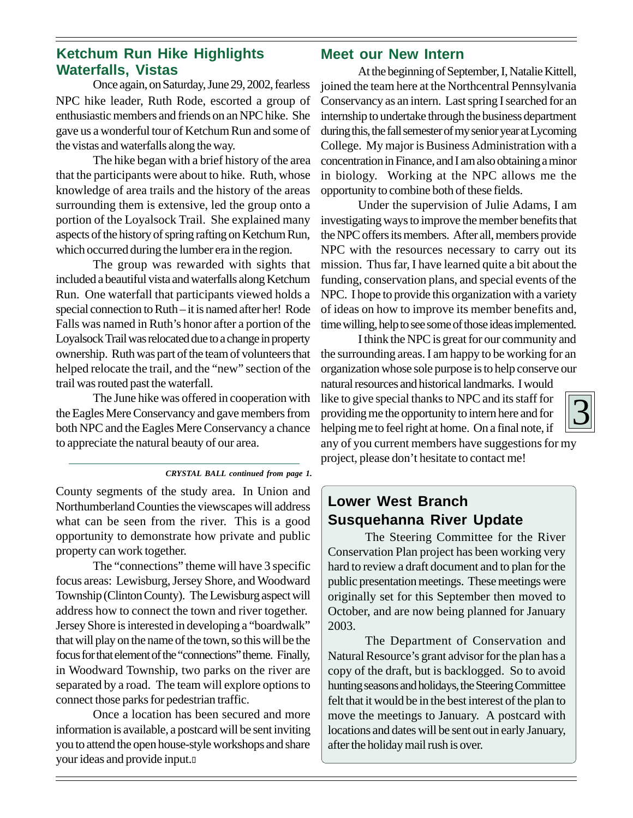### **Ketchum Run Hike Highlights Waterfalls, Vistas**

Once again, on Saturday, June 29, 2002, fearless NPC hike leader, Ruth Rode, escorted a group of enthusiastic members and friends on an NPC hike. She gave us a wonderful tour of Ketchum Run and some of the vistas and waterfalls along the way.

The hike began with a brief history of the area that the participants were about to hike. Ruth, whose knowledge of area trails and the history of the areas surrounding them is extensive, led the group onto a portion of the Loyalsock Trail. She explained many aspects of the history of spring rafting on Ketchum Run, which occurred during the lumber era in the region.

The group was rewarded with sights that included a beautiful vista and waterfalls along Ketchum Run. One waterfall that participants viewed holds a special connection to Ruth – it is named after her! Rode Falls was named in Ruth's honor after a portion of the Loyalsock Trail was relocated due to a change in property ownership. Ruth was part of the team of volunteers that helped relocate the trail, and the "new" section of the trail was routed past the waterfall.

The June hike was offered in cooperation with the Eagles Mere Conservancy and gave members from both NPC and the Eagles Mere Conservancy a chance to appreciate the natural beauty of our area.

*CRYSTAL BALL continued from page 1.*

County segments of the study area. In Union and Northumberland Counties the viewscapes will address what can be seen from the river. This is a good opportunity to demonstrate how private and public property can work together.

The "connections" theme will have 3 specific focus areas: Lewisburg, Jersey Shore, and Woodward Township (Clinton County). The Lewisburg aspect will address how to connect the town and river together. Jersey Shore is interested in developing a "boardwalk" that will play on the name of the town, so this will be the focus for that element of the "connections" theme. Finally, in Woodward Township, two parks on the river are separated by a road. The team will explore options to connect those parks for pedestrian traffic.

Once a location has been secured and more information is available, a postcard will be sent inviting you to attend the open house-style workshops and share your ideas and provide input.

### **Meet our New Intern**

At the beginning of September, I, Natalie Kittell, joined the team here at the Northcentral Pennsylvania Conservancy as an intern. Last spring I searched for an internship to undertake through the business department during this, the fall semester of my senior year at Lycoming College. My major is Business Administration with a concentration in Finance, and I am also obtaining a minor in biology. Working at the NPC allows me the opportunity to combine both of these fields.

Under the supervision of Julie Adams, I am investigating ways to improve the member benefits that the NPC offers its members. After all, members provide NPC with the resources necessary to carry out its mission. Thus far, I have learned quite a bit about the funding, conservation plans, and special events of the NPC. I hope to provide this organization with a variety of ideas on how to improve its member benefits and, time willing, help to see some of those ideas implemented.

I think the NPC is great for our community and the surrounding areas. I am happy to be working for an organization whose sole purpose is to help conserve our

natural resources and historical landmarks. I would like to give special thanks to NPC and its staff for providing me the opportunity to intern here and for helping me to feel right at home. On a final note, if any of you current members have suggestions for my project, please don't hesitate to contact me!

### **Lower West Branch Susquehanna River Update**

The Steering Committee for the River Conservation Plan project has been working very hard to review a draft document and to plan for the public presentation meetings. These meetings were originally set for this September then moved to October, and are now being planned for January 2003.

The Department of Conservation and Natural Resource's grant advisor for the plan has a copy of the draft, but is backlogged. So to avoid hunting seasons and holidays, the Steering Committee felt that it would be in the best interest of the plan to move the meetings to January. A postcard with locations and dates will be sent out in early January, after the holiday mail rush is over.

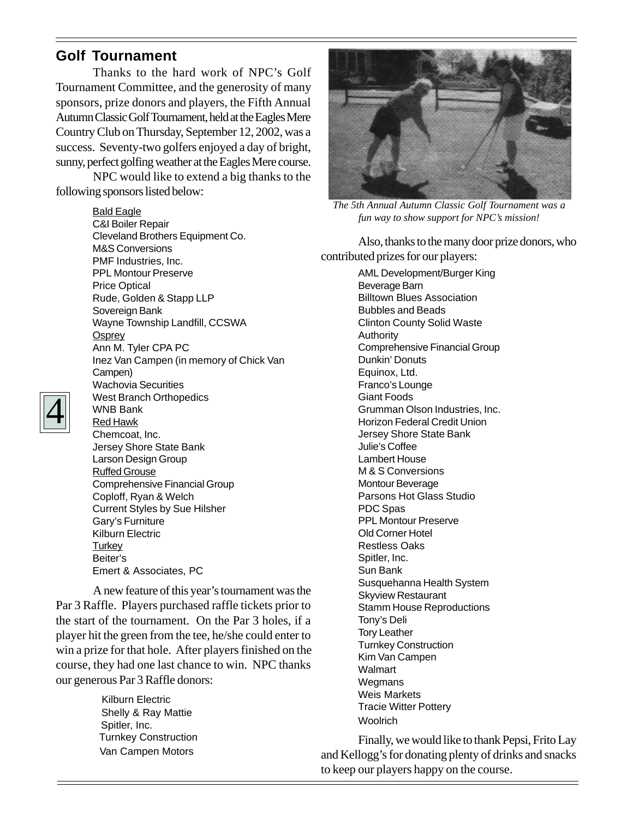### **Golf Tournament**

Thanks to the hard work of NPC's Golf Tournament Committee, and the generosity of many sponsors, prize donors and players, the Fifth Annual Autumn Classic Golf Tournament, held at the Eagles Mere Country Club on Thursday, September 12, 2002, was a success. Seventy-two golfers enjoyed a day of bright, sunny, perfect golfing weather at the Eagles Mere course.

NPC would like to extend a big thanks to the following sponsors listed below:



*The 5th Annual Autumn Classic Golf Tournament was a fun way to show support for NPC's mission!*

Also, thanks to the many door prize donors, who contributed prizes for our players:

AML Development/Burger King Beverage Barn Billtown Blues Association Bubbles and Beads Clinton County Solid Waste Authority Comprehensive Financial Group Dunkin' Donuts Equinox, Ltd. Franco's Lounge Giant Foods Grumman Olson Industries, Inc. Horizon Federal Credit Union Jersey Shore State Bank Julie's Coffee Lambert House M & S Conversions Montour Beverage Parsons Hot Glass Studio PDC Spas PPL Montour Preserve Old Corner Hotel Restless Oaks Spitler, Inc. Sun Bank Susquehanna Health System Skyview Restaurant Stamm House Reproductions Tony's Deli Tory Leather Turnkey Construction Kim Van Campen Walmart **Wegmans** Weis Markets Tracie Witter Pottery **Woolrich** 

Finally, we would like to thank Pepsi, Frito Lay and Kellogg's for donating plenty of drinks and snacks to keep our players happy on the course.



Bald Eagle C&I Boiler Repair Cleveland Brothers Equipment Co. M&S Conversions PMF Industries, Inc. PPL Montour Preserve Price Optical Rude, Golden & Stapp LLP Sovereign Bank Wayne Township Landfill, CCSWA **Osprey** Ann M. Tyler CPA PC Inez Van Campen (in memory of Chick Van Campen) Wachovia Securities West Branch Orthopedics WNB Bank Red Hawk Chemcoat, Inc. Jersey Shore State Bank Larson Design Group Ruffed Grouse Comprehensive Financial Group Coploff, Ryan & Welch Current Styles by Sue Hilsher Gary's Furniture Kilburn Electric **Turkey** Beiter's Emert & Associates, PC

A new feature of this year's tournament was the Par 3 Raffle. Players purchased raffle tickets prior to the start of the tournament. On the Par 3 holes, if a player hit the green from the tee, he/she could enter to win a prize for that hole. After players finished on the course, they had one last chance to win. NPC thanks our generous Par 3 Raffle donors:

> Kilburn Electric Shelly & Ray Mattie Spitler, Inc. Turnkey Construction Van Campen Motors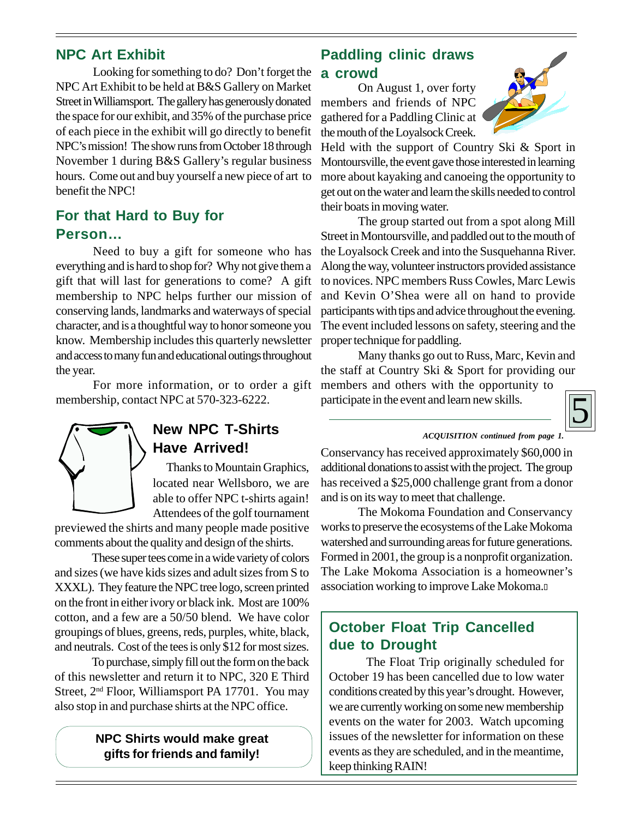### **NPC Art Exhibit**

Looking for something to do? Don't forget the NPC Art Exhibit to be held at B&S Gallery on Market Street in Williamsport. The gallery has generously donated the space for our exhibit, and 35% of the purchase price of each piece in the exhibit will go directly to benefit NPC's mission! The show runs from October 18 through November 1 during B&S Gallery's regular business hours. Come out and buy yourself a new piece of art to benefit the NPC!

### **For that Hard to Buy for Person…**

Need to buy a gift for someone who has everything and is hard to shop for? Why not give them a gift that will last for generations to come? A gift membership to NPC helps further our mission of conserving lands, landmarks and waterways of special character, and is a thoughtful way to honor someone you know. Membership includes this quarterly newsletter and access to many fun and educational outings throughout the year.

For more information, or to order a gift membership, contact NPC at 570-323-6222.



### **New NPC T-Shirts Have Arrived!**

Thanks to Mountain Graphics, located near Wellsboro, we are able to offer NPC t-shirts again! Attendees of the golf tournament

previewed the shirts and many people made positive comments about the quality and design of the shirts.

These super tees come in a wide variety of colors and sizes (we have kids sizes and adult sizes from S to XXXL). They feature the NPC tree logo, screen printed on the front in either ivory or black ink. Most are 100% cotton, and a few are a 50/50 blend. We have color groupings of blues, greens, reds, purples, white, black, and neutrals. Cost of the tees is only \$12 for most sizes.

To purchase, simply fill out the form on the back of this newsletter and return it to NPC, 320 E Third Street, 2<sup>nd</sup> Floor, Williamsport PA 17701. You may also stop in and purchase shirts at the NPC office.

#### **NPC Shirts would make great gifts for friends and family!**

### **Paddling clinic draws a crowd**

On August 1, over forty members and friends of NPC gathered for a Paddling Clinic at the mouth of the Loyalsock Creek.



Held with the support of Country Ski & Sport in Montoursville, the event gave those interested in learning more about kayaking and canoeing the opportunity to get out on the water and learn the skills needed to control their boats in moving water.

The group started out from a spot along Mill Street in Montoursville, and paddled out to the mouth of the Loyalsock Creek and into the Susquehanna River. Along the way, volunteer instructors provided assistance to novices. NPC members Russ Cowles, Marc Lewis and Kevin O'Shea were all on hand to provide participants with tips and advice throughout the evening. The event included lessons on safety, steering and the proper technique for paddling.

Many thanks go out to Russ, Marc, Kevin and the staff at Country Ski & Sport for providing our members and others with the opportunity to participate in the event and learn new skills.



#### *ACQUISITION continued from page 1.*

Conservancy has received approximately \$60,000 in additional donations to assist with the project. The group has received a \$25,000 challenge grant from a donor and is on its way to meet that challenge.

The Mokoma Foundation and Conservancy works to preserve the ecosystems of the Lake Mokoma watershed and surrounding areas for future generations. Formed in 2001, the group is a nonprofit organization. The Lake Mokoma Association is a homeowner's association working to improve Lake Mokoma.

### **October Float Trip Cancelled due to Drought**

The Float Trip originally scheduled for October 19 has been cancelled due to low water conditions created by this year's drought. However, we are currently working on some new membership events on the water for 2003. Watch upcoming issues of the newsletter for information on these events as they are scheduled, and in the meantime, keep thinking RAIN!